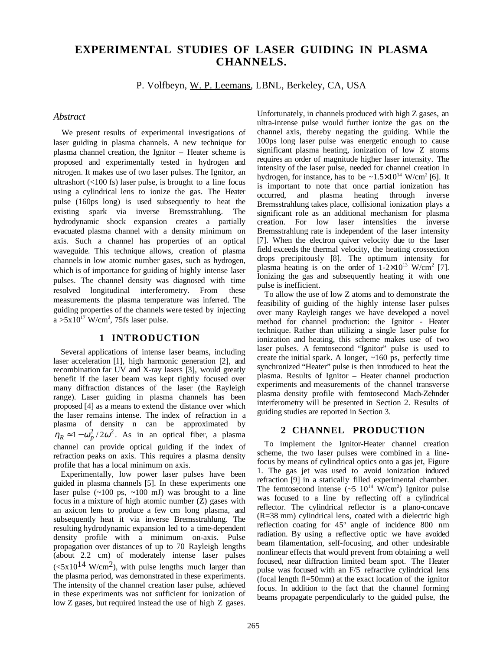# **EXPERIMENTAL STUDIES OF LASER GUIDING IN PLASMA CHANNELS.**

P. Volfbeyn, W. P. Leemans, LBNL, Berkeley, CA, USA

# *Abstract*

We present results of experimental investigations of laser guiding in plasma channels. A new technique for plasma channel creation, the Ignitor – Heater scheme is proposed and experimentally tested in hydrogen and nitrogen. It makes use of two laser pulses. The Ignitor, an ultrashort  $(<100 \text{ fs})$  laser pulse, is brought to a line focus using a cylindrical lens to ionize the gas. The Heater pulse (160ps long) is used subsequently to heat the existing spark via inverse Bremsstrahlung. The hydrodynamic shock expansion creates a partially evacuated plasma channel with a density minimum on axis. Such a channel has properties of an optical waveguide. This technique allows, creation of plasma channels in low atomic number gases, such as hydrogen, which is of importance for guiding of highly intense laser pulses. The channel density was diagnosed with time resolved longitudinal interferometry. From these measurements the plasma temperature was inferred. The guiding properties of the channels were tested by injecting  $a > 5x10^{17}$  W/cm<sup>2</sup>, 75fs laser pulse.

## **1 INTRODUCTION**

Several applications of intense laser beams, including laser acceleration [1], high harmonic generation [2], and recombination far UV and X-ray lasers [3], would greatly benefit if the laser beam was kept tightly focused over many diffraction distances of the laser (the Rayleigh range). Laser guiding in plasma channels has been proposed [4] as a means to extend the distance over which the laser remains intense. The index of refraction in a plasma of density n can be approximated by  $\eta_R \approx 1 - \omega_p^2 / 2 \omega^2$ . As in an optical fiber, a plasma channel can provide optical guiding if the index of refraction peaks on axis. This requires a plasma density profile that has a local minimum on axis.

Experimentally, low power laser pulses have been guided in plasma channels [5]. In these experiments one laser pulse  $(\sim 100 \text{ ps}, \sim 100 \text{ mJ})$  was brought to a line focus in a mixture of high atomic number (Z) gases with an axicon lens to produce a few cm long plasma, and subsequently heat it via inverse Bremsstrahlung. The resulting hydrodynamic expansion led to a time-dependent density profile with a minimum on-axis. Pulse propagation over distances of up to 70 Rayleigh lengths (about 2.2 cm) of moderately intense laser pulses  $\epsilon$  (<5x10<sup>14</sup> W/cm<sup>2</sup>), with pulse lengths much larger than the plasma period, was demonstrated in these experiments. The intensity of the channel creation laser pulse, achieved in these experiments was not sufficient for ionization of low Z gases, but required instead the use of high Z gases. Unfortunately, in channels produced with high Z gases, an ultra-intense pulse would further ionize the gas on the channel axis, thereby negating the guiding. While the 100ps long laser pulse was energetic enough to cause significant plasma heating, ionization of low Z atoms requires an order of magnitude higher laser intensity. The intensity of the laser pulse, needed for channel creation in hydrogen, for instance, has to be  $\sim 1.5 \times 10^{14}$  W/cm<sup>2</sup> [6]. It is important to note that once partial ionization has occurred, and plasma heating through inverse Bremsstrahlung takes place, collisional ionization plays a significant role as an additional mechanism for plasma creation. For low laser intensities the inverse Bremsstrahlung rate is independent of the laser intensity [7]. When the electron quiver velocity due to the laser field exceeds the thermal velocity, the heating crossection drops precipitously [8]. The optimum intensity for plasma heating is on the order of  $1-2\times10^{13}$  W/cm<sup>2</sup> [7]. Ionizing the gas and subsequently heating it with one pulse is inefficient.

To allow the use of low Z atoms and to demonstrate the feasibility of guiding of the highly intense laser pulses over many Rayleigh ranges we have developed a novel method for channel production: the Ignitor - Heater technique. Rather than utilizing a single laser pulse for ionization and heating, this scheme makes use of two laser pulses. A femtosecond "Ignitor" pulse is used to create the initial spark. A longer,  $\sim 160$  ps, perfectly time synchronized "Heater" pulse is then introduced to heat the plasma. Results of Ignitor – Heater channel production experiments and measurements of the channel transverse plasma density profile with femtosecond Mach-Zehnder interferometry will be presented in Section 2. Results of guiding studies are reported in Section 3.

## **2 CHANNEL PRODUCTION**

To implement the Ignitor-Heater channel creation scheme, the two laser pulses were combined in a linefocus by means of cylindrical optics onto a gas jet, Figure 1. The gas jet was used to avoid ionization induced refraction [9] in a statically filled experimental chamber. The femtosecond intense  $({\sim}5 \; 10^{14} \; \mathrm{W/cm^2})$  Ignitor pulse was focused to a line by reflecting off a cylindrical reflector. The cylindrical reflector is a plano-concave (R=38 mm) cylindrical lens, coated with a dielectric high reflection coating for 45° angle of incidence 800 nm radiation. By using a reflective optic we have avoided beam filamentation, self-focusing, and other undesirable nonlinear effects that would prevent from obtaining a well focused, near diffraction limited beam spot. The Heater pulse was focused with an F/5 refractive cylindrical lens (focal length fl=50mm) at the exact location of the ignitor focus. In addition to the fact that the channel forming beams propagate perpendicularly to the guided pulse, the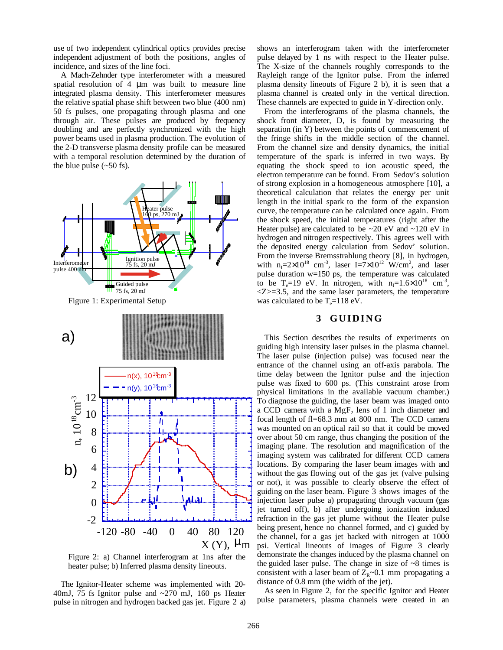use of two independent cylindrical optics provides precise independent adjustment of both the positions, angles of incidence, and sizes of the line foci.

A Mach-Zehnder type interferometer with a measured spatial resolution of 4 µm was built to measure line integrated plasma density. This interferometer measures the relative spatial phase shift between two blue (400 nm) 50 fs pulses, one propagating through plasma and one through air. These pulses are produced by frequency doubling and are perfectly synchronized with the high power beams used in plasma production. The evolution of the 2-D transverse plasma density profile can be measured with a temporal resolution determined by the duration of the blue pulse  $(-50 \text{ fs})$ .



Figure 2: a) Channel interferogram at 1ns after the heater pulse; b) Inferred plasma density lineouts.

The Ignitor-Heater scheme was implemented with 20- 40mJ, 75 fs Ignitor pulse and ~270 mJ, 160 ps Heater pulse in nitrogen and hydrogen backed gas jet. Figure 2 a) shows an interferogram taken with the interferometer pulse delayed by 1 ns with respect to the Heater pulse. The X-size of the channels roughly corresponds to the Rayleigh range of the Ignitor pulse. From the inferred plasma density lineouts of Figure 2 b), it is seen that a plasma channel is created only in the vertical direction. These channels are expected to guide in Y-direction only.

From the interferograms of the plasma channels, the shock front diameter, D, is found by measuring the separation (in Y) between the points of commencement of the fringe shifts in the middle section of the channel. From the channel size and density dynamics, the initial temperature of the spark is inferred in two ways. By equating the shock speed to ion acoustic speed, the electron temperature can be found. From Sedov's solution of strong explosion in a homogeneous atmosphere [10], a theoretical calculation that relates the energy per unit length in the initial spark to the form of the expansion curve, the temperature can be calculated once again. From the shock speed, the initial temperatures (right after the Heater pulse) are calculated to be  $\sim$  20 eV and  $\sim$  120 eV in hydrogen and nitrogen respectively. This agrees well with the deposited energy calculation from Sedov' solution. From the inverse Bremsstrahlung theory [8], in hydrogen, with  $n_1=2\times10^{18}$  cm<sup>-3</sup>, laser I=7×10<sup>12</sup> W/cm<sup>2</sup>, and laser pulse duration w=150 ps, the temperature was calculated to be  $T_e=19$  eV. In nitrogen, with  $n_1=1.6\times10^{18}$  cm<sup>-3</sup>,  $\langle Z \rangle = 3.5$ , and the same laser parameters, the temperature was calculated to be  $T_e=118$  eV.

#### **3 GUIDING**

This Section describes the results of experiments on guiding high intensity laser pulses in the plasma channel. The laser pulse (injection pulse) was focused near the entrance of the channel using an off-axis parabola. The time delay between the Ignitor pulse and the injection pulse was fixed to 600 ps. (This constraint arose from physical limitations in the available vacuum chamber.) To diagnose the guiding, the laser beam was imaged onto a CCD camera with a  $MgF_2$  lens of 1 inch diameter and focal length of fl=68.3 mm at 800 nm. The CCD camera was mounted on an optical rail so that it could be moved over about 50 cm range, thus changing the position of the imaging plane. The resolution and magnification of the imaging system was calibrated for different CCD camera locations. By comparing the laser beam images with and without the gas flowing out of the gas jet (valve pulsing or not), it was possible to clearly observe the effect of guiding on the laser beam. Figure 3 shows images of the injection laser pulse a) propagating through vacuum (gas jet turned off), b) after undergoing ionization induced refraction in the gas jet plume without the Heater pulse being present, hence no channel formed, and c) guided by the channel, for a gas jet backed with nitrogen at 1000 psi. Vertical lineouts of images of Figure 3 clearly demonstrate the changes induced by the plasma channel on the guided laser pulse. The change in size of  $\sim 8$  times is consistent with a laser beam of  $Z_R \sim 0.1$  mm propagating a distance of 0.8 mm (the width of the jet).

As seen in Figure 2, for the specific Ignitor and Heater pulse parameters, plasma channels were created in an